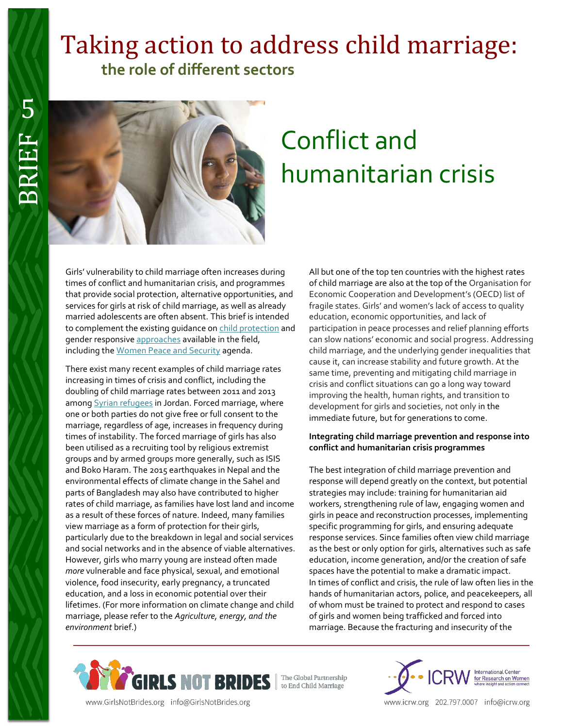## Taking action to address child marriage:  **the role of different sectors**



# Conflict and humanitarian crisis

Girls' vulnerability to child marriage often increases during times of conflict and humanitarian crisis, and programmes that provide social protection, alternative opportunities, and services for girls at risk of child marriage, as well as already married adolescents are often absent. This brief is intended to complement the existing guidance on [child protection](http://www.unicef.org/iran/Minimum_standards_for_child_protection_in_humanitarian_action.pdf) and gender responsiv[e approaches](http://www.europarl.europa.eu/meetdocs/2014_2019/documents/femm/dv/gbv_toolkit_book_01_20_2015_/gbv_toolkit_book_01_20_2015_en.pdf) available in the field, including th[e Women Peace and Security](http://www.un.org/en/peacekeeping/issues/women/wps.shtml) agenda.

There exist many recent examples of child marriage rates increasing in times of crisis and conflict, including the doubling of child marriage rates between 2011 and 2013 amon[g Syrian refugees](http://www.savethechildren.org.uk/sites/default/files/images/Too_Young_to_Wed.pdf) in Jordan. Forced marriage, where one or both parties do not give free or full consent to the marriage, regardless of age, increases in frequency during times of instability. The forced marriage of girls has also been utilised as a recruiting tool by religious extremist groups and by armed groups more generally, such as ISIS and Boko Haram. The 2015 earthquakes in Nepal and the environmental effects of climate change in the Sahel and parts of Bangladesh may also have contributed to higher rates of child marriage, as families have lost land and income as a result of these forces of nature. Indeed, many families view marriage as a form of protection for their girls, particularly due to the breakdown in legal and social services and social networks and in the absence of viable alternatives. However, girls who marry young are instead often made *more* vulnerable and face physical, sexual, and emotional violence, food insecurity, early pregnancy, a truncated education, and a loss in economic potential over their lifetimes. (For more information on climate change and child marriage, please refer to the *Agriculture, energy, and the environment* brief.)

All but one of the top ten countries with the highest rates of child marriage are also at the top of the Organisation for Economic Cooperation and Development's (OECD) list of fragile states. Girls' and women's lack of access to quality education, economic opportunities, and lack of participation in peace processes and relief planning efforts can slow nations' economic and social progress. Addressing child marriage, and the underlying gender inequalities that cause it, can increase stability and future growth. At the same time, preventing and mitigating child marriage in crisis and conflict situations can go a long way toward improving the health, human rights, and transition to development for girls and societies, not only in the immediate future, but for generations to come.

#### **Integrating child marriage prevention and response into conflict and humanitarian crisis programmes**

The best integration of child marriage prevention and response will depend greatly on the context, but potential strategies may include: training for humanitarian aid workers, strengthening rule of law, engaging women and girls in peace and reconstruction processes, implementing specific programming for girls, and ensuring adequate response services. Since families often view child marriage as the best or only option for girls, alternatives such as safe education, income generation, and/or the creation of safe spaces have the potential to make a dramatic impact. In times of conflict and crisis, the rule of law often lies in the hands of humanitarian actors, police, and peacekeepers, all of whom must be trained to protect and respond to cases of girls and women being trafficked and forced into marriage. Because the fracturing and insecurity of the



www.GirlsNotBrides.org info@GirlsNotBrides.org



www.icrw.org 202.797.0007 info@icrw.org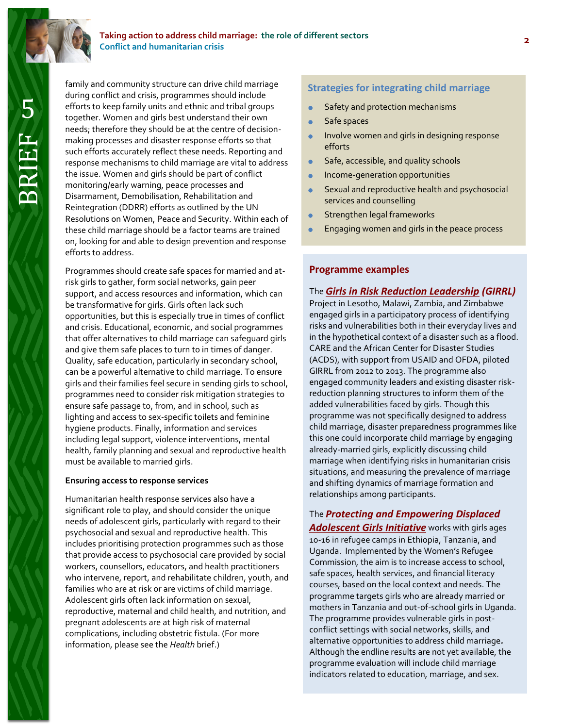

#### **Taking action to address child marriage: the role of different sectors Conflict and humanitarian crisis**

5 BRIEF

Family and community structure can drive child marriage<br>during conflict and crisis, programmes should include<br>efforts to keep family units and ethnic and tribal groups<br>together. Women and girls best understand their own<br>Sa family and community structure can drive child marriage during conflict and crisis, programmes should include efforts to keep family units and ethnic and tribal groups together. Women and girls best understand their own needs; therefore they should be at the centre of decisionmaking processes and disaster response efforts so that such efforts accurately reflect these needs. Reporting and response mechanisms to child marriage are vital to address the issue. Women and girls should be part of conflict monitoring/early warning, peace processes and Disarmament, Demobilisation, Rehabilitation and Reintegration (DDRR) efforts as outlined by the UN Resolutions on Women, Peace and Security. Within each of these child marriage should be a factor teams are trained on, looking for and able to design prevention and response efforts to address.

Programmes should create safe spaces for married and atrisk girls to gather, form social networks, gain peer support, and access resources and information, which can be transformative for girls. Girls often lack such opportunities, but this is especially true in times of conflict and crisis. Educational, economic, and social programmes that offer alternatives to child marriage can safeguard girls and give them safe places to turn to in times of danger. Quality, safe education, particularly in secondary school, can be a powerful alternative to child marriage. To ensure girls and their families feel secure in sending girls to school, programmes need to consider risk mitigation strategies to ensure safe passage to, from, and in school, such as lighting and access to sex-specific toilets and feminine hygiene products. Finally, information and services including legal support, violence interventions, mental health, family planning and sexual and reproductive health must be available to married girls.

#### **Ensuring access to response services**

Humanitarian health response services also have a significant role to play, and should consider the unique needs of adolescent girls, particularly with regard to their psychosocial and sexual and reproductive health. This includes prioritising protection programmes such as those that provide access to psychosocial care provided by social workers, counsellors, educators, and health practitioners who intervene, report, and rehabilitate children, youth, and families who are at risk or are victims of child marriage. Adolescent girls often lack information on sexual, reproductive, maternal and child health, and nutrition, and pregnant adolescents are at high risk of maternal complications, including obstetric fistula. (For more information, please see the *Health* brief.)

- Safety and protection mechanisms
- Safe spaces
- Involve women and girls in designing response efforts
- Safe, accessible, and quality schools
- **Income-generation opportunities**
- Sexual and reproductive health and psychosocial services and counselling
- **Strengthen legal frameworks**
- **Engaging women and girls in the peace process**

#### **Programme examples**

#### The *[Girls in Risk Reduction Leadership](http://acds.co.za/index.php?page=girrl) (GIRRL)*

Project in Lesotho, Malawi, Zambia, and Zimbabwe engaged girls in a participatory process of identifying risks and vulnerabilities both in their everyday lives and in the hypothetical context of a disaster such as a flood. CARE and the African Center for Disaster Studies (ACDS), with support from USAID and OFDA, piloted GIRRL from 2012 to 2013. The programme also engaged community leaders and existing disaster riskreduction planning structures to inform them of the added vulnerabilities faced by girls. Though this programme was not specifically designed to address child marriage, disaster preparedness programmes like this one could incorporate child marriage by engaging already-married girls, explicitly discussing child marriage when identifying risks in humanitarian crisis situations, and measuring the prevalence of marriage and shifting dynamics of marriage formation and relationships among participants.

#### The *[Protecting and Empowering Displaced](https://womensrefugeecommission.org/programs/adolescent-girls/protection-empowerment)*

*[Adolescent Girls Initiative](https://womensrefugeecommission.org/programs/adolescent-girls/protection-empowerment)* works with girls ages 10-16 in refugee camps in Ethiopia, Tanzania, and Uganda. Implemented by the Women's Refugee Commission, the aim is to increase access to school, safe spaces, health services, and financial literacy courses, based on the local context and needs. The programme targets girls who are already married or mothers in Tanzania and out-of-school girls in Uganda. The programme provides vulnerable girls in postconflict settings with social networks, skills, and alternative opportunities to address child marriage*.* Although the endline results are not yet available, the programme evaluation will include child marriage indicators related to education, marriage, and sex.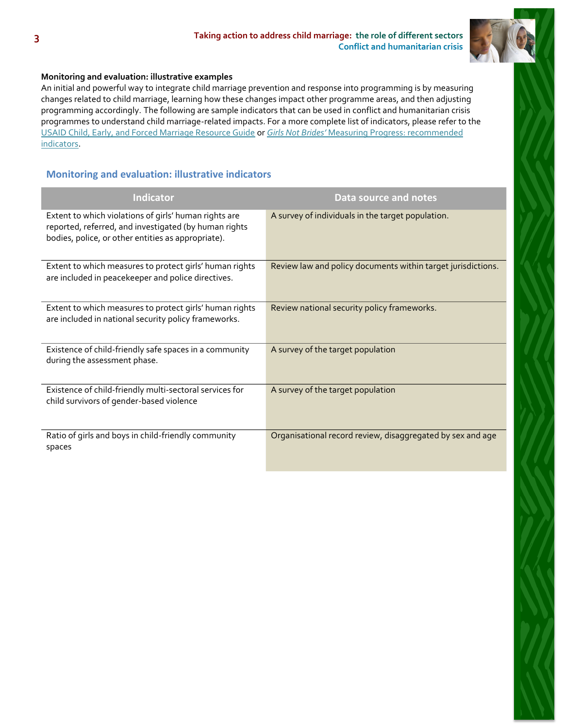

#### **Monitoring and evaluation: illustrative examples**

An initial and powerful way to integrate child marriage prevention and response into programming is by measuring changes related to child marriage, learning how these changes impact other programme areas, and then adjusting programming accordingly. The following are sample indicators that can be used in conflict and humanitarian crisis programmes to understand child marriage-related impacts. For a more complete list of indicators, please refer to the [USAID Child, Early, and Forced Marriage Resource Guide](https://www.usaid.gov/what-we-do/gender-equality-and-womens-empowerment/child-marriage) or *Girls Not Brides'* [Measuring Progress:](http://www.girlsnotbrides.org/these-indicators-will-help-measure-your-progress-towards-ending-child-marriage/) recommended indicators.

### **Monitoring and evaluation: illustrative indicators**

| Indicator                                                                                                                                                            | Data source and notes                                        |
|----------------------------------------------------------------------------------------------------------------------------------------------------------------------|--------------------------------------------------------------|
| Extent to which violations of girls' human rights are<br>reported, referred, and investigated (by human rights<br>bodies, police, or other entities as appropriate). | A survey of individuals in the target population.            |
| Extent to which measures to protect girls' human rights<br>are included in peacekeeper and police directives.                                                        | Review law and policy documents within target jurisdictions. |
| Extent to which measures to protect girls' human rights<br>are included in national security policy frameworks.                                                      | Review national security policy frameworks.                  |
| Existence of child-friendly safe spaces in a community<br>during the assessment phase.                                                                               | A survey of the target population                            |
| Existence of child-friendly multi-sectoral services for<br>child survivors of gender-based violence                                                                  | A survey of the target population                            |
| Ratio of girls and boys in child-friendly community<br>spaces                                                                                                        | Organisational record review, disaggregated by sex and age   |